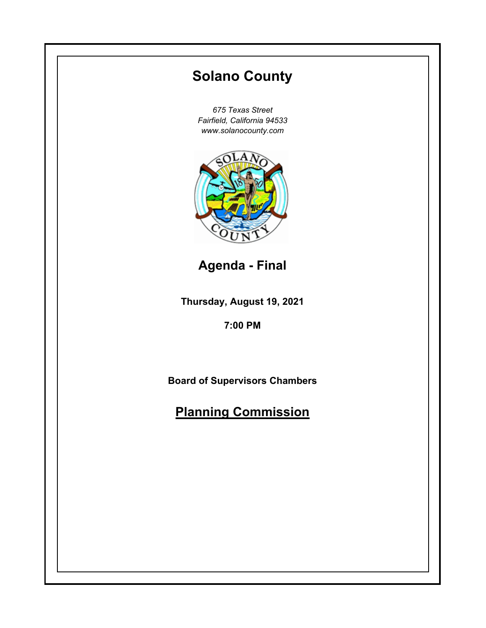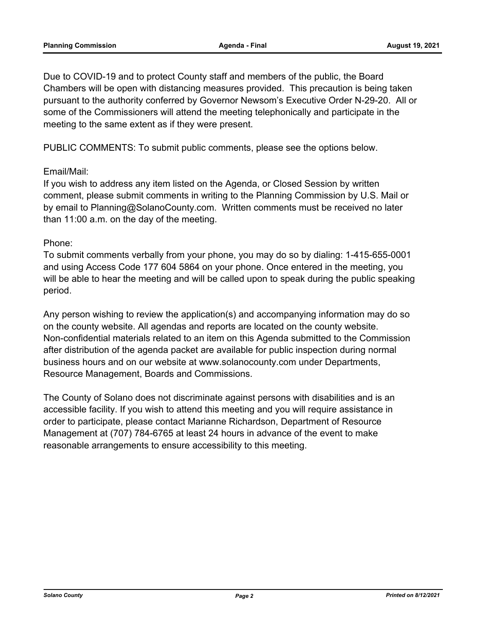Due to COVID-19 and to protect County staff and members of the public, the Board Chambers will be open with distancing measures provided. This precaution is being taken pursuant to the authority conferred by Governor Newsom's Executive Order N-29-20. All or some of the Commissioners will attend the meeting telephonically and participate in the meeting to the same extent as if they were present.

PUBLIC COMMENTS: To submit public comments, please see the options below.

# Email/Mail:

If you wish to address any item listed on the Agenda, or Closed Session by written comment, please submit comments in writing to the Planning Commission by U.S. Mail or by email to Planning@SolanoCounty.com. Written comments must be received no later than 11:00 a.m. on the day of the meeting.

## Phone:

To submit comments verbally from your phone, you may do so by dialing: 1-415-655-0001 and using Access Code 177 604 5864 on your phone. Once entered in the meeting, you will be able to hear the meeting and will be called upon to speak during the public speaking period.

Any person wishing to review the application(s) and accompanying information may do so on the county website. All agendas and reports are located on the county website. Non-confidential materials related to an item on this Agenda submitted to the Commission after distribution of the agenda packet are available for public inspection during normal business hours and on our website at www.solanocounty.com under Departments, Resource Management, Boards and Commissions.

The County of Solano does not discriminate against persons with disabilities and is an accessible facility. If you wish to attend this meeting and you will require assistance in order to participate, please contact Marianne Richardson, Department of Resource Management at (707) 784-6765 at least 24 hours in advance of the event to make reasonable arrangements to ensure accessibility to this meeting.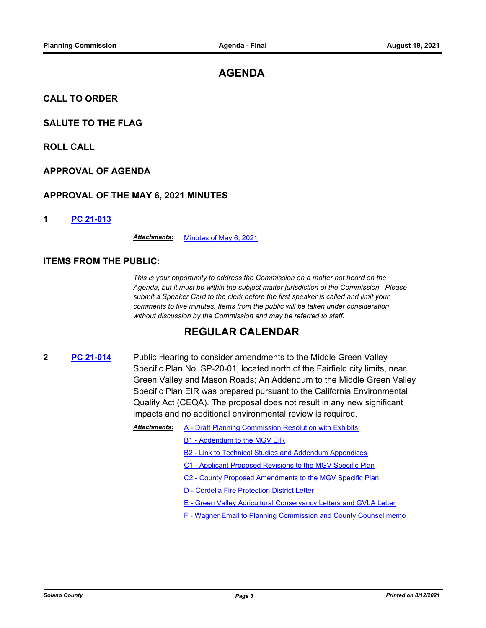# **AGENDA**

**CALL TO ORDER**

## **SALUTE TO THE FLAG**

**ROLL CALL**

## **APPROVAL OF AGENDA**

### **APPROVAL OF THE MAY 6, 2021 MINUTES**

#### **1 [PC 21-013](http://solano.legistar.com/gateway.aspx?m=l&id=/matter.aspx?key=16170)**

*Attachments:* [Minutes of May 6, 2021](http://solano.legistar.com/gateway.aspx?M=F&ID=5fd34935-88dd-4061-9030-b9fd89330162.pdf)

### **ITEMS FROM THE PUBLIC:**

*This is your opportunity to address the Commission on a matter not heard on the Agenda, but it must be within the subject matter jurisdiction of the Commission. Please submit a Speaker Card to the clerk before the first speaker is called and limit your comments to five minutes. Items from the public will be taken under consideration without discussion by the Commission and may be referred to staff.*

# **REGULAR CALENDAR**

- **2 [PC 21-014](https://solano.legistar.com/View.ashx?M=F&ID=9710070&GUID=9363367E-2C41-4B42-8351-17D6C80D2ACE)** Public Hearing to consider amendments to the Middle Green Valley Specific Plan No. SP-20-01, located north of the Fairfield city limits, near Green Valley and Mason Roads; An Addendum to the Middle Green Valley Specific Plan EIR was prepared pursuant to the California Environmental Quality Act (CEQA). The proposal does not result in any new significant impacts and no additional environmental review is required.
	- Attachments: [A Draft Planning Commission Resolution with Exhibits](http://solano.legistar.com/gateway.aspx?M=F&ID=3b768102-8941-4230-b5d5-b8e897721177.pdf)
		- [B1 Addendum to the MGV EIR](http://solano.legistar.com/gateway.aspx?M=F&ID=aa1a586f-dae6-4133-8e70-ccdfb1c1d518.pdf)
			- [B2 Link to Technical Studies and Addendum Appendices](http://solano.legistar.com/gateway.aspx?M=F&ID=410bc00f-c292-404a-9f0e-bb23bcba6112.pdf)
			- [C1 Applicant Proposed Revisions to the MGV Specific Plan](http://solano.legistar.com/gateway.aspx?M=F&ID=0be8ac9b-c3e8-47d2-a12e-13a778723bbe.pdf)
			- [C2 County Proposed Amendments to the MGV Specific Plan](http://solano.legistar.com/gateway.aspx?M=F&ID=c3b34009-eeb8-48d5-860f-cfa2d839967e.pdf)
			- [D Cordelia Fire Protection District Letter](http://solano.legistar.com/gateway.aspx?M=F&ID=f573043f-0176-4ef1-87d0-9aa0fb6086e0.pdf)
			- [E Green Valley Agricultural Conservancy Letters and GVLA Letter](http://solano.legistar.com/gateway.aspx?M=F&ID=0412612f-07c8-4963-9c7e-1515d7556f7b.pdf)
			- [F Wagner Email to Planning Commission and County Counsel memo](http://solano.legistar.com/gateway.aspx?M=F&ID=0882b9ad-7e87-4249-9cd2-00088c946358.pdf)